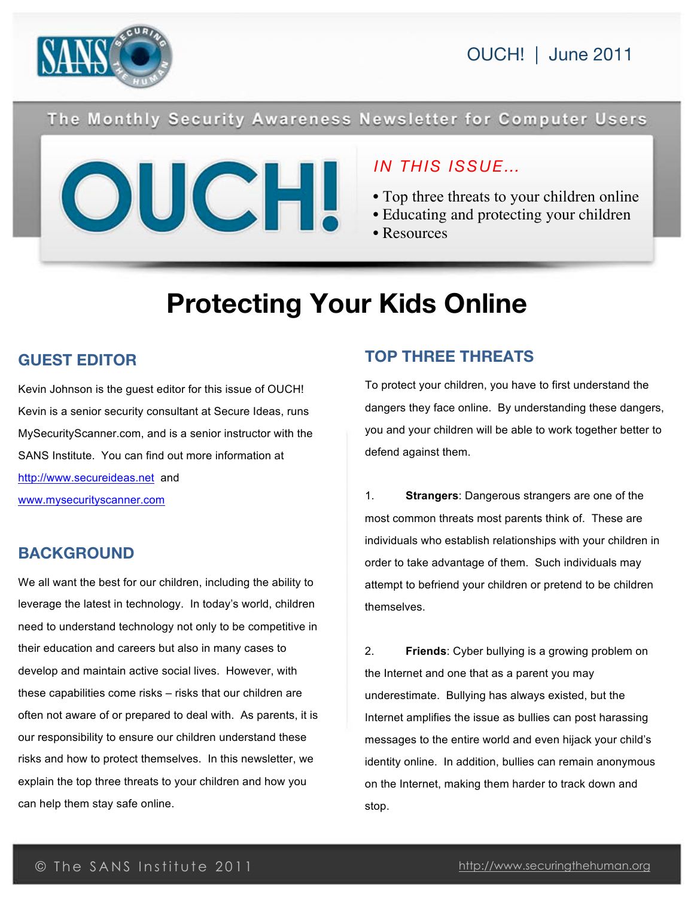

OUCH! | June 2011

### The Monthly Security Awareness Newsletter for Computer Users



### *IN THIS ISSUE…*

- Top three threats to your children online
- Educating and protecting your children
- Resources

# **Protecting Your Kids Online**

### **GUEST EDITOR**

Kevin Johnson is the guest editor for this issue of OUCH! Kevin is a senior security consultant at Secure Ideas, runs MySecurityScanner.com, and is a senior instructor with the SANS Institute. You can find out more information at http://www.secureideas.net and www.mysecurityscanner.com

### **BACKGROUND**

We all want the best for our children, including the ability to leverage the latest in technology. In today's world, children need to understand technology not only to be competitive in their education and careers but also in many cases to develop and maintain active social lives. However, with these capabilities come risks – risks that our children are often not aware of or prepared to deal with. As parents, it is our responsibility to ensure our children understand these risks and how to protect themselves. In this newsletter, we explain the top three threats to your children and how you can help them stay safe online.

### **TOP THREE THREATS**

To protect your children, you have to first understand the dangers they face online. By understanding these dangers, you and your children will be able to work together better to defend against them.

1. **Strangers**: Dangerous strangers are one of the most common threats most parents think of. These are individuals who establish relationships with your children in order to take advantage of them. Such individuals may attempt to befriend your children or pretend to be children themselves.

2. **Friends**: Cyber bullying is a growing problem on the Internet and one that as a parent you may underestimate. Bullying has always existed, but the Internet amplifies the issue as bullies can post harassing messages to the entire world and even hijack your child's identity online. In addition, bullies can remain anonymous on the Internet, making them harder to track down and stop.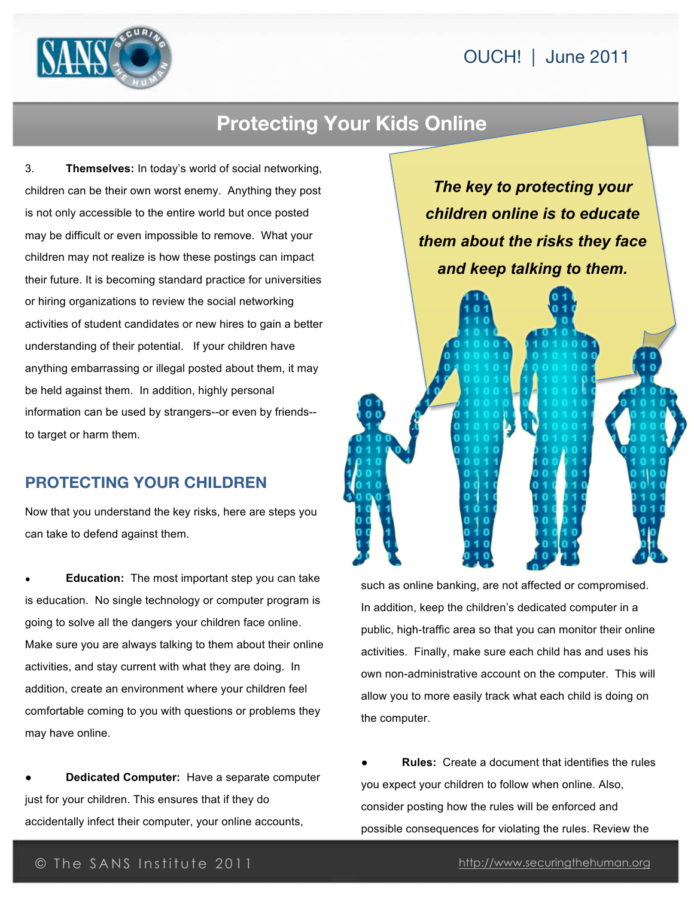### OUCH! | June 2011



### **Protecting Your Kids Online**

3. **Themselves:** In today's world of social networking, children can be their own worst enemy. Anything they post is not only accessible to the entire world but once posted may be difficult or even impossible to remove. What your children may not realize is how these postings can impact their future. It is becoming standard practice for universities or hiring organizations to review the social networking activities of student candidates or new hires to gain a better understanding of their potential. If your children have anything embarrassing or illegal posted about them, it may be held against them. In addition, highly personal information can be used by strangers--or even by friends- to target or harm them.

#### **PROTECTING YOUR CHILDREN**

Now that you understand the key risks, here are steps you can take to defend against them.

**Education:** The most important step you can take is education. No single technology or computer program is going to solve all the dangers your children face online. Make sure you are always talking to them about their online activities, and stay current with what they are doing. In addition, create an environment where your children feel comfortable coming to you with questions or problems they may have online.

**Dedicated Computer:** Have a separate computer just for your children. This ensures that if they do accidentally infect their computer, your online accounts,

*The key to protecting your children online is to educate them about the risks they face and keep talking to them.*



such as online banking, are not affected or compromised. In addition, keep the children's dedicated computer in a public, high-traffic area so that you can monitor their online activities. Finally, make sure each child has and uses his own non-administrative account on the computer. This will allow you to more easily track what each child is doing on the computer.

**Rules:** Create a document that identifies the rules you expect your children to follow when online. Also, consider posting how the rules will be enforced and possible consequences for violating the rules. Review the